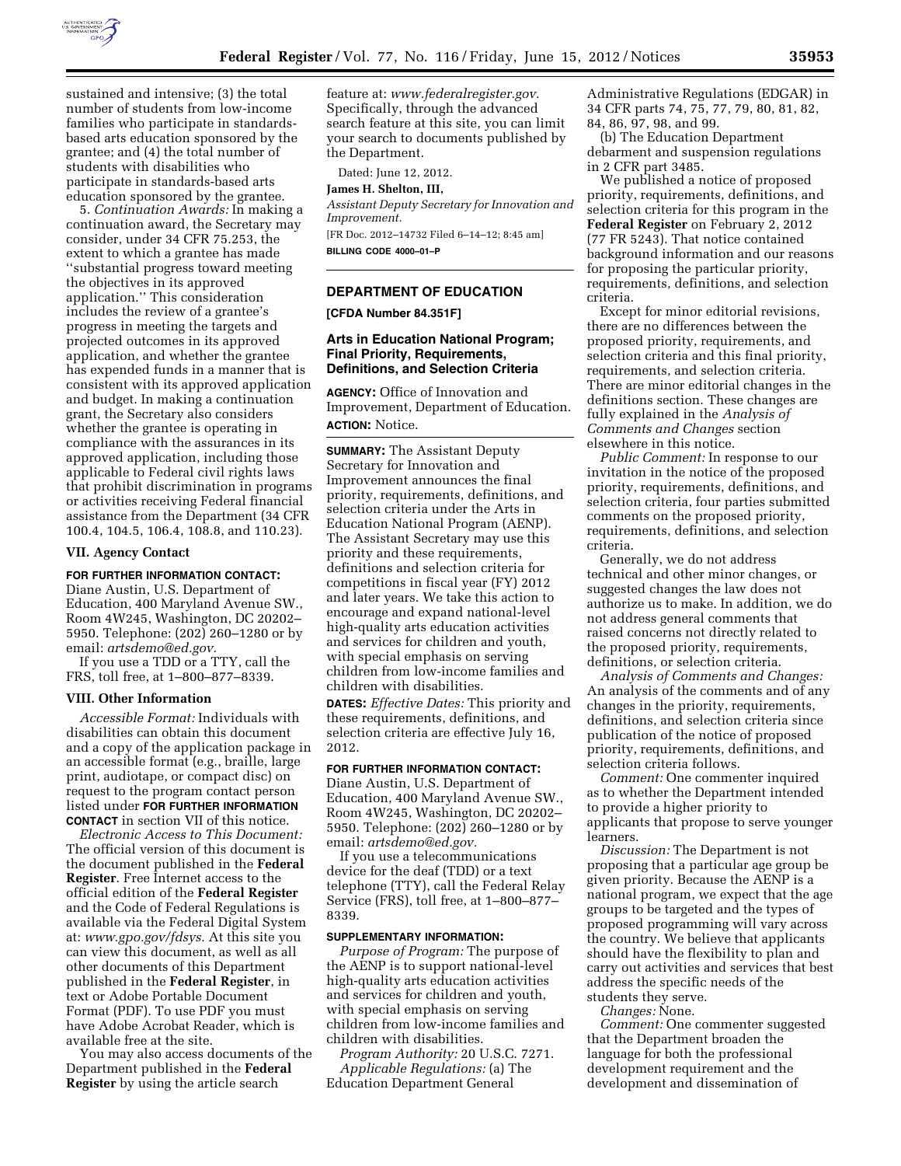

sustained and intensive; (3) the total number of students from low-income families who participate in standardsbased arts education sponsored by the grantee; and (4) the total number of students with disabilities who participate in standards-based arts education sponsored by the grantee.

5. *Continuation Awards:* In making a continuation award, the Secretary may consider, under 34 CFR 75.253, the extent to which a grantee has made ''substantial progress toward meeting the objectives in its approved application.'' This consideration includes the review of a grantee's progress in meeting the targets and projected outcomes in its approved application, and whether the grantee has expended funds in a manner that is consistent with its approved application and budget. In making a continuation grant, the Secretary also considers whether the grantee is operating in compliance with the assurances in its approved application, including those applicable to Federal civil rights laws that prohibit discrimination in programs or activities receiving Federal financial assistance from the Department (34 CFR 100.4, 104.5, 106.4, 108.8, and 110.23).

### **VII. Agency Contact**

# **FOR FURTHER INFORMATION CONTACT:**

Diane Austin, U.S. Department of Education, 400 Maryland Avenue SW., Room 4W245, Washington, DC 20202– 5950. Telephone: (202) 260–1280 or by email: *[artsdemo@ed.gov.](mailto:artsdemo@ed.gov)* 

If you use a TDD or a TTY, call the FRS, toll free, at 1–800–877–8339.

#### **VIII. Other Information**

*Accessible Format:* Individuals with disabilities can obtain this document and a copy of the application package in an accessible format (e.g., braille, large print, audiotape, or compact disc) on request to the program contact person listed under **FOR FURTHER INFORMATION CONTACT** in section VII of this notice.

*Electronic Access to This Document:*  The official version of this document is the document published in the **Federal Register**. Free Internet access to the official edition of the **Federal Register**  and the Code of Federal Regulations is available via the Federal Digital System at: *[www.gpo.gov/fdsys.](http://www.gpo.gov/fdsys)* At this site you can view this document, as well as all other documents of this Department published in the **Federal Register**, in text or Adobe Portable Document Format (PDF). To use PDF you must have Adobe Acrobat Reader, which is available free at the site.

You may also access documents of the Department published in the **Federal Register** by using the article search

feature at: *[www.federalregister.gov.](http://www.federalregister.gov)*  Specifically, through the advanced search feature at this site, you can limit your search to documents published by the Department.

Dated: June 12, 2012.

#### **James H. Shelton, III,**

*Assistant Deputy Secretary for Innovation and Improvement.* 

[FR Doc. 2012–14732 Filed 6–14–12; 8:45 am]

**BILLING CODE 4000–01–P** 

# **DEPARTMENT OF EDUCATION**

**[CFDA Number 84.351F]** 

### **Arts in Education National Program; Final Priority, Requirements, Definitions, and Selection Criteria**

**AGENCY:** Office of Innovation and Improvement, Department of Education. **ACTION:** Notice.

**SUMMARY:** The Assistant Deputy Secretary for Innovation and Improvement announces the final priority, requirements, definitions, and selection criteria under the Arts in Education National Program (AENP). The Assistant Secretary may use this priority and these requirements, definitions and selection criteria for competitions in fiscal year (FY) 2012 and later years. We take this action to encourage and expand national-level high-quality arts education activities and services for children and youth, with special emphasis on serving children from low-income families and children with disabilities.

**DATES:** *Effective Dates:* This priority and these requirements, definitions, and selection criteria are effective July 16, 2012.

## **FOR FURTHER INFORMATION CONTACT:**

Diane Austin, U.S. Department of Education, 400 Maryland Avenue SW., Room 4W245, Washington, DC 20202– 5950. Telephone: (202) 260–1280 or by email: *[artsdemo@ed.gov.](mailto:artsdemo@ed.gov)* 

If you use a telecommunications device for the deaf (TDD) or a text telephone (TTY), call the Federal Relay Service (FRS), toll free, at 1–800–877– 8339.

### **SUPPLEMENTARY INFORMATION:**

*Purpose of Program:* The purpose of the AENP is to support national-level high-quality arts education activities and services for children and youth, with special emphasis on serving children from low-income families and children with disabilities.

*Program Authority:* 20 U.S.C. 7271. *Applicable Regulations:* (a) The Education Department General

Administrative Regulations (EDGAR) in 34 CFR parts 74, 75, 77, 79, 80, 81, 82, 84, 86, 97, 98, and 99.

(b) The Education Department debarment and suspension regulations in 2 CFR part 3485.

We published a notice of proposed priority, requirements, definitions, and selection criteria for this program in the **Federal Register** on February 2, 2012 (77 FR 5243). That notice contained background information and our reasons for proposing the particular priority, requirements, definitions, and selection criteria.

Except for minor editorial revisions, there are no differences between the proposed priority, requirements, and selection criteria and this final priority, requirements, and selection criteria. There are minor editorial changes in the definitions section. These changes are fully explained in the *Analysis of Comments and Changes* section elsewhere in this notice.

*Public Comment:* In response to our invitation in the notice of the proposed priority, requirements, definitions, and selection criteria, four parties submitted comments on the proposed priority, requirements, definitions, and selection criteria.

Generally, we do not address technical and other minor changes, or suggested changes the law does not authorize us to make. In addition, we do not address general comments that raised concerns not directly related to the proposed priority, requirements, definitions, or selection criteria.

*Analysis of Comments and Changes:*  An analysis of the comments and of any changes in the priority, requirements, definitions, and selection criteria since publication of the notice of proposed priority, requirements, definitions, and selection criteria follows.

*Comment:* One commenter inquired as to whether the Department intended to provide a higher priority to applicants that propose to serve younger learners.

*Discussion:* The Department is not proposing that a particular age group be given priority. Because the AENP is a national program, we expect that the age groups to be targeted and the types of proposed programming will vary across the country. We believe that applicants should have the flexibility to plan and carry out activities and services that best address the specific needs of the students they serve.

*Changes:* None.

*Comment:* One commenter suggested that the Department broaden the language for both the professional development requirement and the development and dissemination of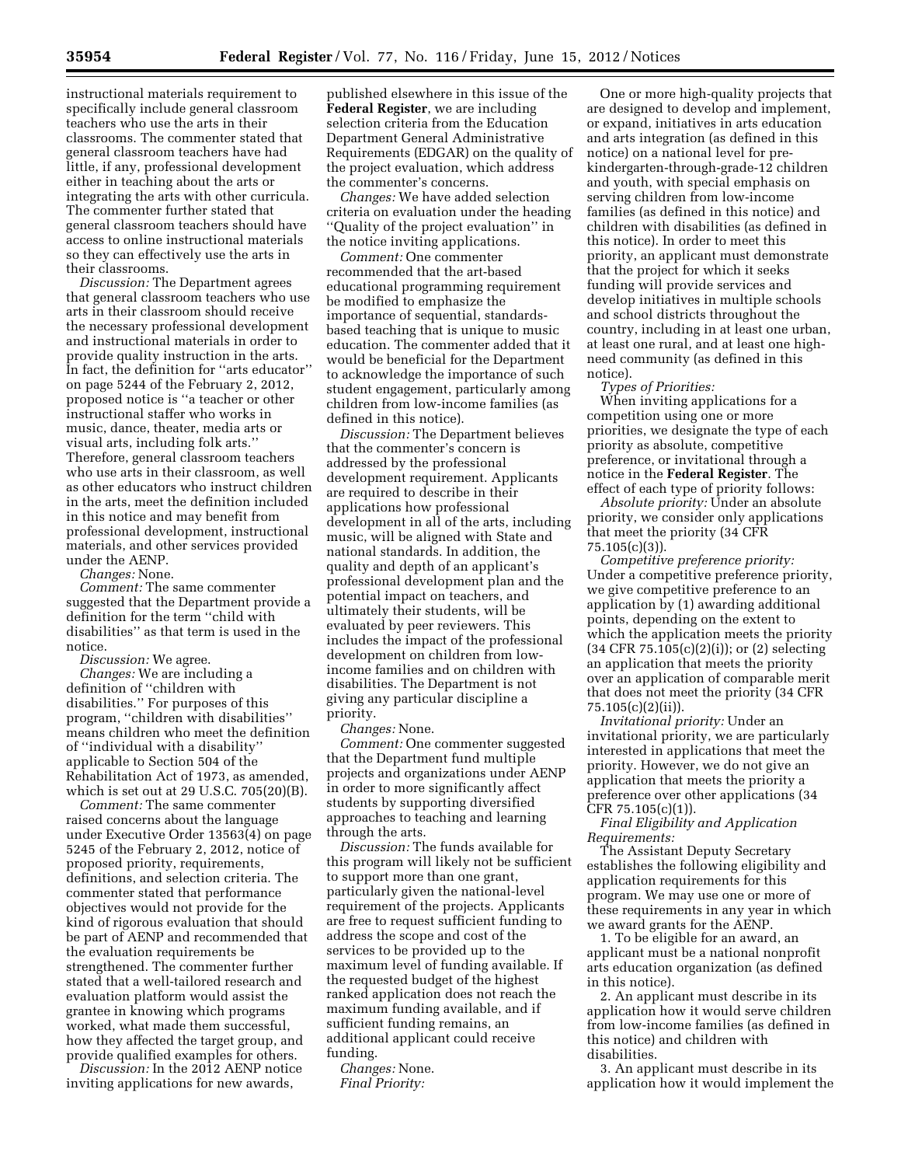instructional materials requirement to specifically include general classroom teachers who use the arts in their classrooms. The commenter stated that general classroom teachers have had little, if any, professional development either in teaching about the arts or integrating the arts with other curricula. The commenter further stated that general classroom teachers should have access to online instructional materials so they can effectively use the arts in their classrooms.

*Discussion:* The Department agrees that general classroom teachers who use arts in their classroom should receive the necessary professional development and instructional materials in order to provide quality instruction in the arts. In fact, the definition for ''arts educator'' on page 5244 of the February 2, 2012, proposed notice is ''a teacher or other instructional staffer who works in music, dance, theater, media arts or visual arts, including folk arts.'' Therefore, general classroom teachers who use arts in their classroom, as well as other educators who instruct children in the arts, meet the definition included in this notice and may benefit from professional development, instructional materials, and other services provided under the AENP.

*Changes:* None.

*Comment:* The same commenter suggested that the Department provide a definition for the term ''child with disabilities'' as that term is used in the notice.

*Discussion:* We agree.

*Changes:* We are including a definition of ''children with disabilities.'' For purposes of this program, ''children with disabilities'' means children who meet the definition of ''individual with a disability'' applicable to Section 504 of the Rehabilitation Act of 1973, as amended, which is set out at 29 U.S.C. 705(20)(B).

*Comment:* The same commenter raised concerns about the language under Executive Order 13563(4) on page 5245 of the February 2, 2012, notice of proposed priority, requirements, definitions, and selection criteria. The commenter stated that performance objectives would not provide for the kind of rigorous evaluation that should be part of AENP and recommended that the evaluation requirements be strengthened. The commenter further stated that a well-tailored research and evaluation platform would assist the grantee in knowing which programs worked, what made them successful, how they affected the target group, and provide qualified examples for others.

*Discussion:* In the 2012 AENP notice inviting applications for new awards,

published elsewhere in this issue of the **Federal Register**, we are including selection criteria from the Education Department General Administrative Requirements (EDGAR) on the quality of the project evaluation, which address the commenter's concerns.

*Changes:* We have added selection criteria on evaluation under the heading ''Quality of the project evaluation'' in the notice inviting applications.

*Comment:* One commenter recommended that the art-based educational programming requirement be modified to emphasize the importance of sequential, standardsbased teaching that is unique to music education. The commenter added that it would be beneficial for the Department to acknowledge the importance of such student engagement, particularly among children from low-income families (as defined in this notice).

*Discussion:* The Department believes that the commenter's concern is addressed by the professional development requirement. Applicants are required to describe in their applications how professional development in all of the arts, including music, will be aligned with State and national standards. In addition, the quality and depth of an applicant's professional development plan and the potential impact on teachers, and ultimately their students, will be evaluated by peer reviewers. This includes the impact of the professional development on children from lowincome families and on children with disabilities. The Department is not giving any particular discipline a priority.

*Changes:* None.

*Comment:* One commenter suggested that the Department fund multiple projects and organizations under AENP in order to more significantly affect students by supporting diversified approaches to teaching and learning through the arts.

*Discussion:* The funds available for this program will likely not be sufficient to support more than one grant, particularly given the national-level requirement of the projects. Applicants are free to request sufficient funding to address the scope and cost of the services to be provided up to the maximum level of funding available. If the requested budget of the highest ranked application does not reach the maximum funding available, and if sufficient funding remains, an additional applicant could receive funding.

*Changes:* None. *Final Priority:* 

One or more high-quality projects that are designed to develop and implement, or expand, initiatives in arts education and arts integration (as defined in this notice) on a national level for prekindergarten-through-grade-12 children and youth, with special emphasis on serving children from low-income families (as defined in this notice) and children with disabilities (as defined in this notice). In order to meet this priority, an applicant must demonstrate that the project for which it seeks funding will provide services and develop initiatives in multiple schools and school districts throughout the country, including in at least one urban, at least one rural, and at least one highneed community (as defined in this notice).

*Types of Priorities:* 

When inviting applications for a competition using one or more priorities, we designate the type of each priority as absolute, competitive preference, or invitational through a notice in the **Federal Register**. The effect of each type of priority follows:

*Absolute priority:* Under an absolute priority, we consider only applications that meet the priority (34 CFR  $75.105(c)(3)$ ).

*Competitive preference priority:*  Under a competitive preference priority, we give competitive preference to an application by (1) awarding additional points, depending on the extent to which the application meets the priority (34 CFR 75.105(c)(2)(i)); or (2) selecting an application that meets the priority over an application of comparable merit that does not meet the priority (34 CFR 75.105(c)(2)(ii)).

*Invitational priority:* Under an invitational priority, we are particularly interested in applications that meet the priority. However, we do not give an application that meets the priority a preference over other applications (34 CFR 75.105(c)(1)).

*Final Eligibility and Application Requirements:* 

The Assistant Deputy Secretary establishes the following eligibility and application requirements for this program. We may use one or more of these requirements in any year in which we award grants for the AENP.

1. To be eligible for an award, an applicant must be a national nonprofit arts education organization (as defined in this notice).

2. An applicant must describe in its application how it would serve children from low-income families (as defined in this notice) and children with disabilities.

3. An applicant must describe in its application how it would implement the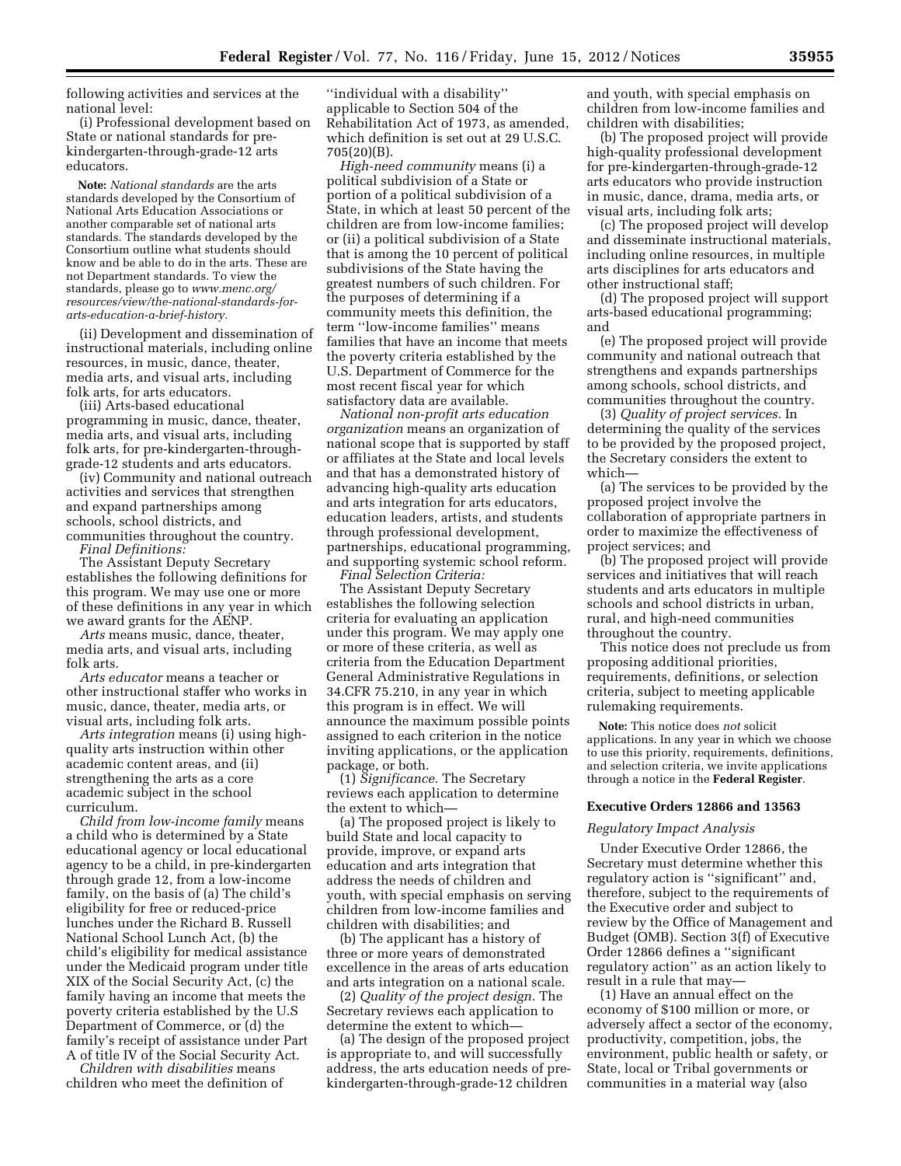following activities and services at the national level:

(i) Professional development based on State or national standards for prekindergarten-through-grade-12 arts educators.

**Note:** *National standards* are the arts standards developed by the Consortium of National Arts Education Associations or another comparable set of national arts standards. The standards developed by the Consortium outline what students should know and be able to do in the arts. These are not Department standards. To view the standards, please go to *[www.menc.org/](http://www.menc.org/resources/view/the-national-standards-for-arts-education-a-brief-history)  [resources/view/the-national-standards-for](http://www.menc.org/resources/view/the-national-standards-for-arts-education-a-brief-history)[arts-education-a-brief-history.](http://www.menc.org/resources/view/the-national-standards-for-arts-education-a-brief-history)* 

(ii) Development and dissemination of instructional materials, including online resources, in music, dance, theater, media arts, and visual arts, including folk arts, for arts educators.

(iii) Arts-based educational programming in music, dance, theater, media arts, and visual arts, including folk arts, for pre-kindergarten-throughgrade-12 students and arts educators.

(iv) Community and national outreach activities and services that strengthen and expand partnerships among schools, school districts, and communities throughout the country. *Final Definitions:* 

The Assistant Deputy Secretary establishes the following definitions for this program. We may use one or more of these definitions in any year in which we award grants for the AENP.

*Arts* means music, dance, theater, media arts, and visual arts, including folk arts.

*Arts educator* means a teacher or other instructional staffer who works in music, dance, theater, media arts, or visual arts, including folk arts.

*Arts integration* means (i) using highquality arts instruction within other academic content areas, and (ii) strengthening the arts as a core academic subject in the school curriculum.

*Child from low-income family* means a child who is determined by a State educational agency or local educational agency to be a child, in pre-kindergarten through grade 12, from a low-income family, on the basis of (a) The child's eligibility for free or reduced-price lunches under the Richard B. Russell National School Lunch Act, (b) the child's eligibility for medical assistance under the Medicaid program under title XIX of the Social Security Act, (c) the family having an income that meets the poverty criteria established by the U.S Department of Commerce, or (d) the family's receipt of assistance under Part A of title IV of the Social Security Act.

*Children with disabilities* means children who meet the definition of

''individual with a disability'' applicable to Section 504 of the Rehabilitation Act of 1973, as amended, which definition is set out at 29 U.S.C. 705(20)(B).

*High-need community* means (i) a political subdivision of a State or portion of a political subdivision of a State, in which at least 50 percent of the children are from low-income families; or (ii) a political subdivision of a State that is among the 10 percent of political subdivisions of the State having the greatest numbers of such children. For the purposes of determining if a community meets this definition, the term ''low-income families'' means families that have an income that meets the poverty criteria established by the U.S. Department of Commerce for the most recent fiscal year for which satisfactory data are available.

*National non-profit arts education organization* means an organization of national scope that is supported by staff or affiliates at the State and local levels and that has a demonstrated history of advancing high-quality arts education and arts integration for arts educators, education leaders, artists, and students through professional development, partnerships, educational programming, and supporting systemic school reform. *Final Selection Criteria:* 

The Assistant Deputy Secretary establishes the following selection criteria for evaluating an application under this program. We may apply one or more of these criteria, as well as criteria from the Education Department General Administrative Regulations in 34.CFR 75.210, in any year in which this program is in effect. We will announce the maximum possible points assigned to each criterion in the notice inviting applications, or the application package, or both.

(1) *Significance.* The Secretary reviews each application to determine the extent to which—

(a) The proposed project is likely to build State and local capacity to provide, improve, or expand arts education and arts integration that address the needs of children and youth, with special emphasis on serving children from low-income families and children with disabilities; and

(b) The applicant has a history of three or more years of demonstrated excellence in the areas of arts education and arts integration on a national scale.

(2) *Quality of the project design.* The Secretary reviews each application to determine the extent to which—

(a) The design of the proposed project is appropriate to, and will successfully address, the arts education needs of prekindergarten-through-grade-12 children

and youth, with special emphasis on children from low-income families and children with disabilities;

(b) The proposed project will provide high-quality professional development for pre-kindergarten-through-grade-12 arts educators who provide instruction in music, dance, drama, media arts, or visual arts, including folk arts;

(c) The proposed project will develop and disseminate instructional materials, including online resources, in multiple arts disciplines for arts educators and other instructional staff;

(d) The proposed project will support arts-based educational programming; and

(e) The proposed project will provide community and national outreach that strengthens and expands partnerships among schools, school districts, and communities throughout the country.

(3) *Quality of project services.* In determining the quality of the services to be provided by the proposed project, the Secretary considers the extent to which—

(a) The services to be provided by the proposed project involve the collaboration of appropriate partners in order to maximize the effectiveness of project services; and

(b) The proposed project will provide services and initiatives that will reach students and arts educators in multiple schools and school districts in urban, rural, and high-need communities throughout the country.

This notice does not preclude us from proposing additional priorities, requirements, definitions, or selection criteria, subject to meeting applicable rulemaking requirements.

**Note:** This notice does *not* solicit applications. In any year in which we choose to use this priority, requirements, definitions, and selection criteria, we invite applications through a notice in the **Federal Register**.

### **Executive Orders 12866 and 13563**

#### *Regulatory Impact Analysis*

Under Executive Order 12866, the Secretary must determine whether this regulatory action is ''significant'' and, therefore, subject to the requirements of the Executive order and subject to review by the Office of Management and Budget (OMB). Section 3(f) of Executive Order 12866 defines a ''significant regulatory action'' as an action likely to result in a rule that may—

(1) Have an annual effect on the economy of \$100 million or more, or adversely affect a sector of the economy, productivity, competition, jobs, the environment, public health or safety, or State, local or Tribal governments or communities in a material way (also